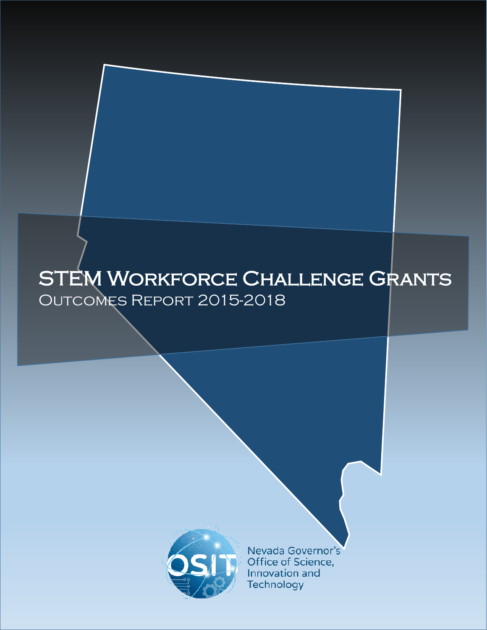

Nevada Governor's Office of Science, Innovation and Technology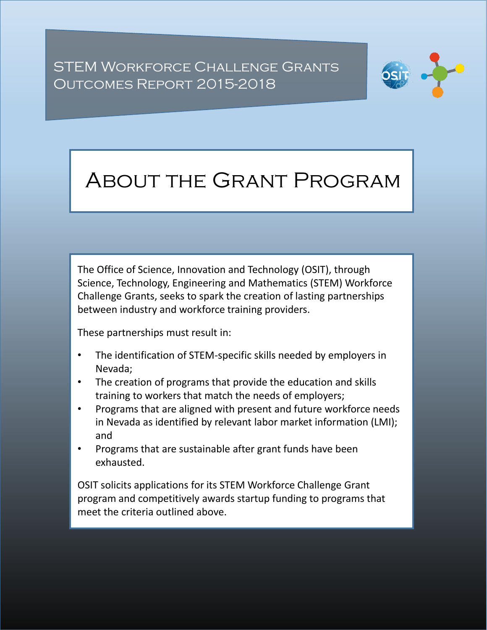

# About the Grant Program

The Office of Science, Innovation and Technology (OSIT), through Science, Technology, Engineering and Mathematics (STEM) Workforce Challenge Grants, seeks to spark the creation of lasting partnerships between industry and workforce training providers.

These partnerships must result in:

- The identification of STEM-specific skills needed by employers in Nevada;
- The creation of programs that provide the education and skills training to workers that match the needs of employers;
- Programs that are aligned with present and future workforce needs in Nevada as identified by relevant labor market information (LMI); and
- Programs that are sustainable after grant funds have been exhausted.

OSIT solicits applications for its STEM Workforce Challenge Grant program and competitively awards startup funding to programs that meet the criteria outlined above.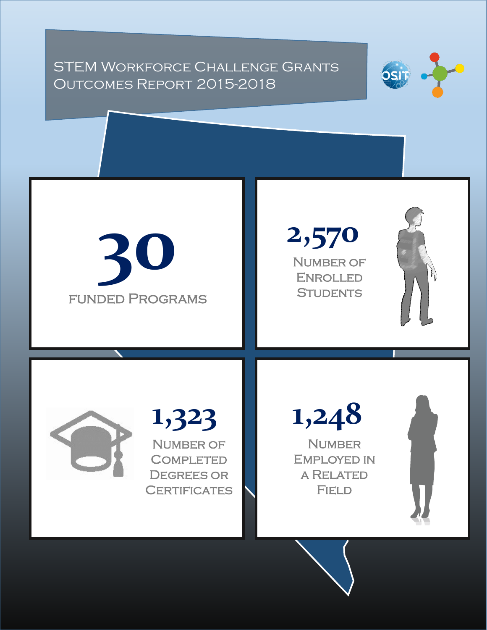



**2,570** NUMBER OF Enrolled **STUDENTS** 



**1,323** NUMBER OF **COMPLETED** DEGREES OR **CERTIFICATES** 

**1,248**

**NUMBER** Employed in a Related **FIELD**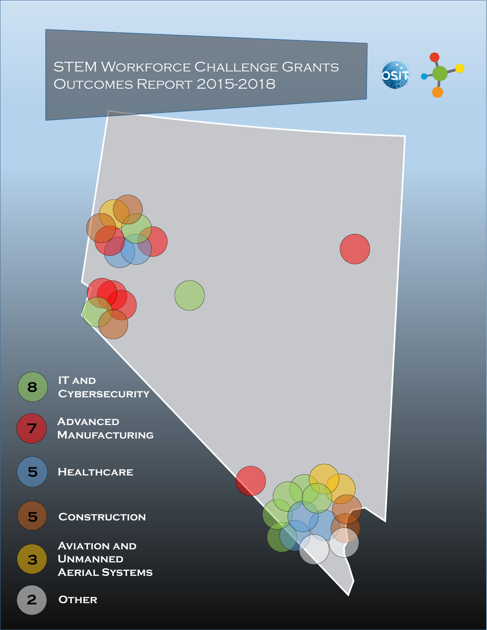

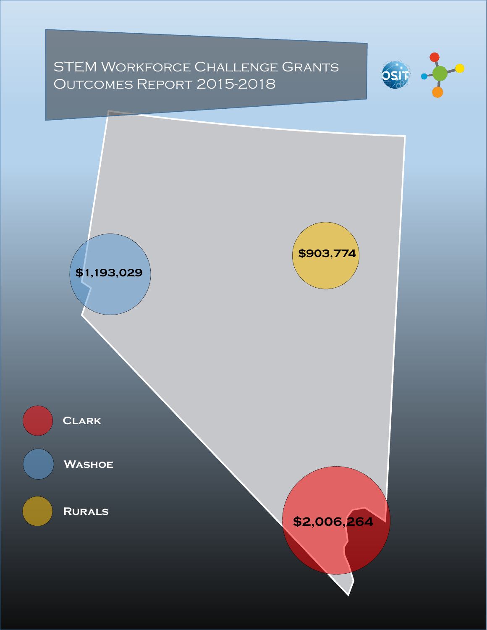

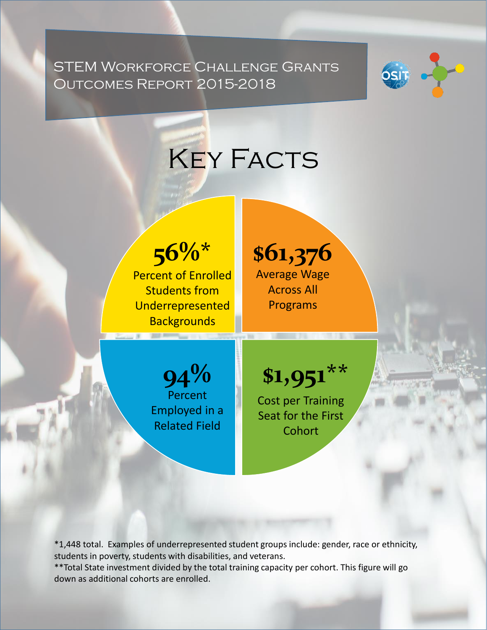

**KEY FACTS** 

**56%\*** Percent of Enrolled Students from Underrepresented **Backgrounds** 

**\$61,376** Average Wage Across All Programs

**94%** Percent Employed in a Related Field

**\$1,951\*\***

Cost per Training Seat for the First **Cohort** 

\*1,448 total. Examples of underrepresented student groups include: gender, race or ethnicity, students in poverty, students with disabilities, and veterans.

\*\*Total State investment divided by the total training capacity per cohort. This figure will go down as additional cohorts are enrolled.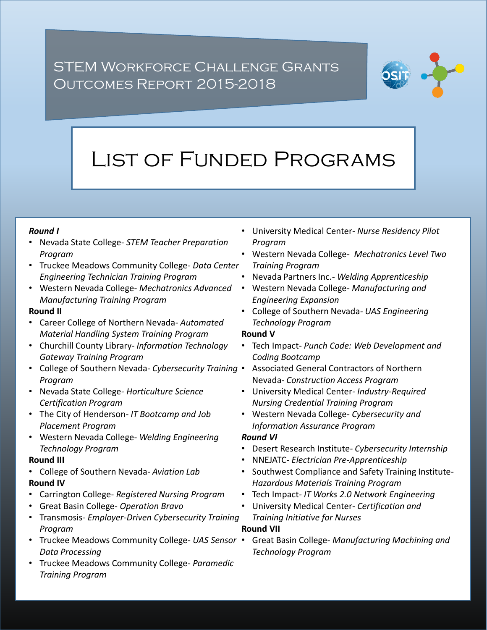

# List of Funded Programs

### *Round I*

- Nevada State College- *STEM Teacher Preparation Program*
- Truckee Meadows Community College- *Data Center Engineering Technician Training Program*
- Western Nevada College- *Mechatronics Advanced Manufacturing Training Program*

### **Round II**

- Career College of Northern Nevada- *Automated Material Handling System Training Program*
- Churchill County Library- *Information Technology Gateway Training Program*
- College of Southern Nevada- *Cybersecurity Training Program*
- Nevada State College*- Horticulture Science Certification Program*
- The City of Henderson- *IT Bootcamp and Job Placement Program*
- Western Nevada College- *Welding Engineering Technology Program*

#### **Round III**

- College of Southern Nevada- *Aviation Lab* **Round IV**
- Carrington College- *Registered Nursing Program*
- Great Basin College- *Operation Bravo*
- Transmosis- *Employer-Driven Cybersecurity Training Program*
- Truckee Meadows Community College- *UAS Sensor Data Processing*
- Truckee Meadows Community College- *Paramedic Training Program*
- University Medical Center- *Nurse Residency Pilot Program*
- Western Nevada College- *Mechatronics Level Two Training Program*
- Nevada Partners Inc.*- Welding Apprenticeship*
- Western Nevada College- *Manufacturing and Engineering Expansion*
- College of Southern Nevada- *UAS Engineering Technology Program*

### **Round V**

- Tech Impact- *Punch Code: Web Development and Coding Bootcamp*
- Associated General Contractors of Northern Nevada- *Construction Access Program*
- University Medical Center*- Industry-Required Nursing Credential Training Program*
- Western Nevada College- *Cybersecurity and Information Assurance Program*

### *Round VI*

- Desert Research Institute*- Cybersecurity Internship*
- NNEJATC- *Electrician Pre-Apprenticeship*
- Southwest Compliance and Safety Training Institute-*Hazardous Materials Training Program*
- Tech Impact*- IT Works 2.0 Network Engineering*
- University Medical Center- *Certification and Training Initiative for Nurses* **Round VII**
- Great Basin College- *Manufacturing Machining and Technology Program*